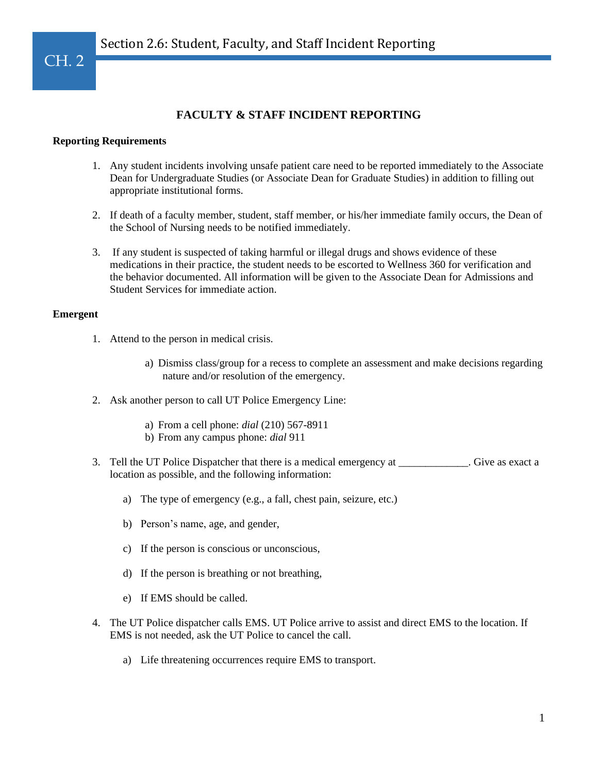# **FACULTY & STAFF INCIDENT REPORTING**

## **Reporting Requirements**

- 1. Any student incidents involving unsafe patient care need to be reported immediately to the Associate Dean for Undergraduate Studies (or Associate Dean for Graduate Studies) in addition to filling out appropriate institutional forms.
- 2. If death of a faculty member, student, staff member, or his/her immediate family occurs, the Dean of the School of Nursing needs to be notified immediately.
- 3. If any student is suspected of taking harmful or illegal drugs and shows evidence of these medications in their practice, the student needs to be escorted to Wellness 360 for verification and the behavior documented. All information will be given to the Associate Dean for Admissions and Student Services for immediate action.

#### **Emergent**

- 1. Attend to the person in medical crisis.
	- a) Dismiss class/group for a recess to complete an assessment and make decisions regarding nature and/or resolution of the emergency.
- 2. Ask another person to call UT Police Emergency Line:
	- a) From a cell phone: *dial* (210) 567-8911
	- b) From any campus phone: *dial* 911
- 3. Tell the UT Police Dispatcher that there is a medical emergency at  $\qquad \qquad$  . Give as exact a location as possible, and the following information:
	- a) The type of emergency (e.g., a fall, chest pain, seizure, etc.)
	- b) Person's name, age, and gender,
	- c) If the person is conscious or unconscious,
	- d) If the person is breathing or not breathing,
	- e) If EMS should be called.
- 4. The UT Police dispatcher calls EMS. UT Police arrive to assist and direct EMS to the location. If EMS is not needed, ask the UT Police to cancel the call.
	- a) Life threatening occurrences require EMS to transport.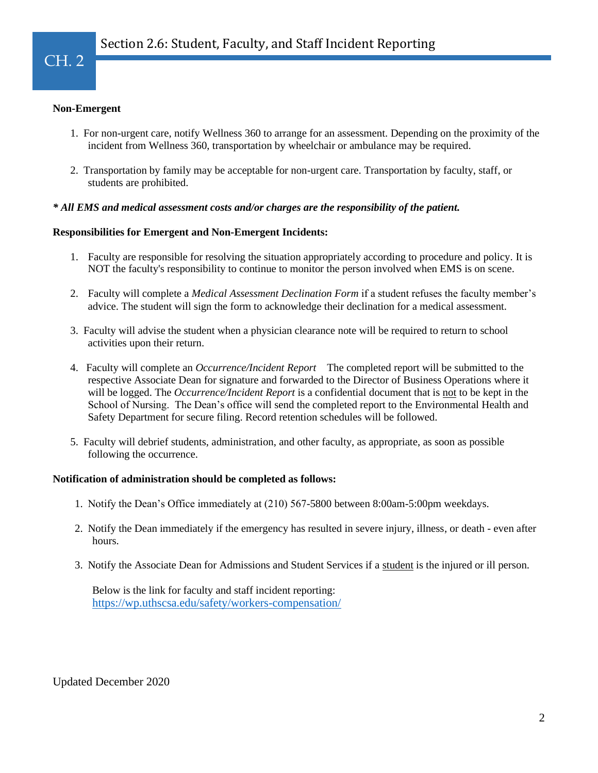## **Non-Emergent**

- 1. For non-urgent care, notify Wellness 360 to arrange for an assessment. Depending on the proximity of the incident from Wellness 360, transportation by wheelchair or ambulance may be required.
- 2. Transportation by family may be acceptable for non-urgent care. Transportation by faculty, staff, or students are prohibited.

## *\* All EMS and medical assessment costs and/or charges are the responsibility of the patient.*

## **Responsibilities for Emergent and Non-Emergent Incidents:**

- 1. Faculty are responsible for resolving the situation appropriately according to procedure and policy. It is NOT the faculty's responsibility to continue to monitor the person involved when EMS is on scene.
- 2. Faculty will complete a *Medical Assessment Declination Form* if a student refuses the faculty member's advice. The student will sign the form to acknowledge their declination for a medical assessment.
- 3. Faculty will advise the student when a physician clearance note will be required to return to school activities upon their return.
- 4. Faculty will complete an *Occurrence/Incident Report* The completed report will be submitted to the respective Associate Dean for signature and forwarded to the Director of Business Operations where it will be logged. The *Occurrence/Incident Report* is a confidential document that is not to be kept in the School of Nursing. The Dean's office will send the completed report to the Environmental Health and Safety Department for secure filing. Record retention schedules will be followed.
- 5. Faculty will debrief students, administration, and other faculty, as appropriate, as soon as possible following the occurrence.

## **Notification of administration should be completed as follows:**

- 1. Notify the Dean's Office immediately at (210) 567-5800 between 8:00am-5:00pm weekdays.
- 2. Notify the Dean immediately if the emergency has resulted in severe injury, illness, or death even after hours.
- 3. Notify the Associate Dean for Admissions and Student Services if a student is the injured or ill person.

Below is the link for faculty and staff incident reporting: <https://wp.uthscsa.edu/safety/workers-compensation/>

Updated December 2020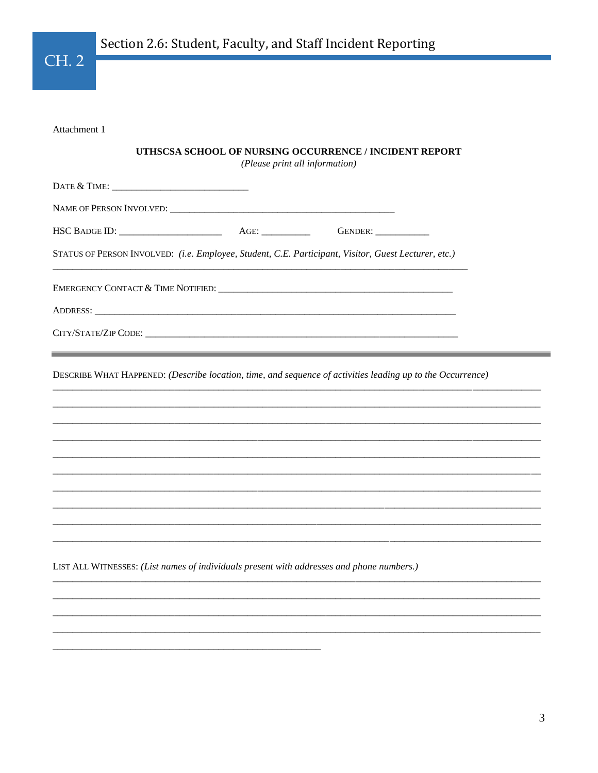$CH.2$ 

Attachment 1

## UTHSCSA SCHOOL OF NURSING OCCURRENCE / INCIDENT REPORT

(Please print all information)

| STATUS OF PERSON INVOLVED: (i.e. Employee, Student, C.E. Participant, Visitor, Guest Lecturer, etc.)                                                                                                                          |                                                                                                                      |  |
|-------------------------------------------------------------------------------------------------------------------------------------------------------------------------------------------------------------------------------|----------------------------------------------------------------------------------------------------------------------|--|
| EMERGENCY CONTACT & TIME NOTIFIED: University of the state of the state of the state of the state of the state of the state of the state of the state of the state of the state of the state of the state of the state of the |                                                                                                                      |  |
|                                                                                                                                                                                                                               |                                                                                                                      |  |
|                                                                                                                                                                                                                               |                                                                                                                      |  |
|                                                                                                                                                                                                                               |                                                                                                                      |  |
|                                                                                                                                                                                                                               | <u> 1989 - Johann Stoff, deutscher Stoffen und der Stoffen und der Stoffen und der Stoffen und der Stoffen und d</u> |  |
|                                                                                                                                                                                                                               |                                                                                                                      |  |
|                                                                                                                                                                                                                               |                                                                                                                      |  |
| DESCRIBE WHAT HAPPENED: (Describe location, time, and sequence of activities leading up to the Occurrence)                                                                                                                    |                                                                                                                      |  |
|                                                                                                                                                                                                                               |                                                                                                                      |  |
|                                                                                                                                                                                                                               |                                                                                                                      |  |
|                                                                                                                                                                                                                               |                                                                                                                      |  |
|                                                                                                                                                                                                                               |                                                                                                                      |  |
|                                                                                                                                                                                                                               |                                                                                                                      |  |
|                                                                                                                                                                                                                               |                                                                                                                      |  |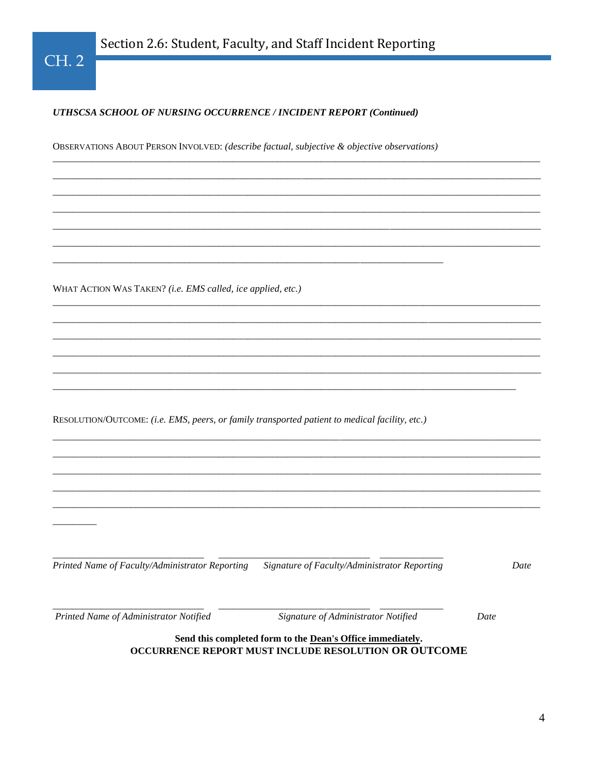## UTHSCSA SCHOOL OF NURSING OCCURRENCE / INCIDENT REPORT (Continued)

OBSERVATIONS ABOUT PERSON INVOLVED: (describe factual, subjective & objective observations)

WHAT ACTION WAS TAKEN? (i.e. EMS called, ice applied, etc.)

RESOLUTION/OUTCOME: (i.e. EMS, peers, or family transported patient to medical facility, etc.)

Printed Name of Faculty/Administrator Reporting Signature of Faculty/Administrator Reporting

Date

Printed Name of Administrator Notified

Signature of Administrator Notified

Date

## Send this completed form to the Dean's Office immediately. OCCURRENCE REPORT MUST INCLUDE RESOLUTION OR OUTCOME